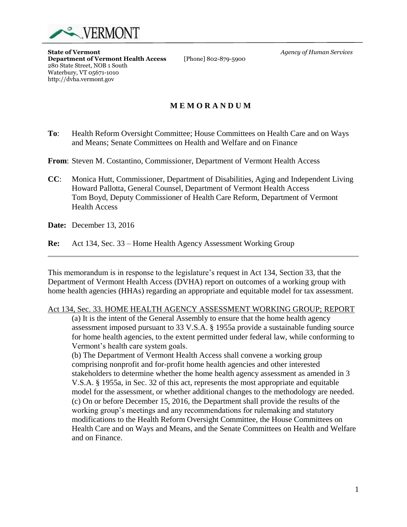

**State of Vermont** *Agency of Human Services* **Department of Vermont Health Access** 280 State Street, NOB 1 South Waterbury, VT 05671-1010 http://dvha.vermont.gov

## **M E M O R A N D U M**

**To**: Health Reform Oversight Committee; House Committees on Health Care and on Ways and Means; Senate Committees on Health and Welfare and on Finance

**From**: Steven M. Costantino, Commissioner, Department of Vermont Health Access

**CC**: Monica Hutt, Commissioner, Department of Disabilities, Aging and Independent Living Howard Pallotta, General Counsel, Department of Vermont Health Access Tom Boyd, Deputy Commissioner of Health Care Reform, Department of Vermont Health Access

**Date:** December 13, 2016

**Re:** Act 134, Sec. 33 – Home Health Agency Assessment Working Group

This memorandum is in response to the legislature's request in Act 134, Section 33, that the Department of Vermont Health Access (DVHA) report on outcomes of a working group with home health agencies (HHAs) regarding an appropriate and equitable model for tax assessment.

## Act 134, Sec. 33. HOME HEALTH AGENCY ASSESSMENT WORKING GROUP; REPORT

(a) It is the intent of the General Assembly to ensure that the home health agency assessment imposed pursuant to 33 V.S.A. § 1955a provide a sustainable funding source for home health agencies, to the extent permitted under federal law, while conforming to Vermont's health care system goals.

(b) The Department of Vermont Health Access shall convene a working group comprising nonprofit and for-profit home health agencies and other interested stakeholders to determine whether the home health agency assessment as amended in 3 V.S.A. § 1955a, in Sec. 32 of this act, represents the most appropriate and equitable model for the assessment, or whether additional changes to the methodology are needed. (c) On or before December 15, 2016, the Department shall provide the results of the working group's meetings and any recommendations for rulemaking and statutory modifications to the Health Reform Oversight Committee, the House Committees on Health Care and on Ways and Means, and the Senate Committees on Health and Welfare and on Finance.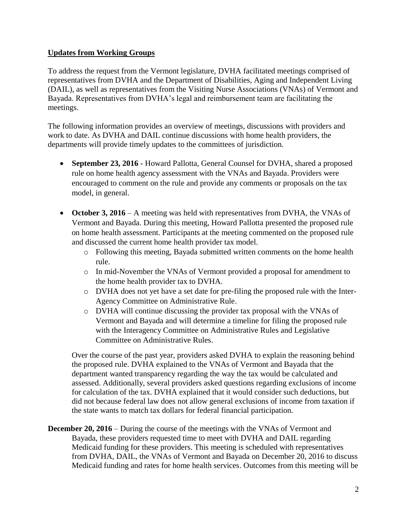## **Updates from Working Groups**

To address the request from the Vermont legislature, DVHA facilitated meetings comprised of representatives from DVHA and the Department of Disabilities, Aging and Independent Living (DAIL), as well as representatives from the Visiting Nurse Associations (VNAs) of Vermont and Bayada. Representatives from DVHA's legal and reimbursement team are facilitating the meetings.

The following information provides an overview of meetings, discussions with providers and work to date. As DVHA and DAIL continue discussions with home health providers, the departments will provide timely updates to the committees of jurisdiction.

- **September 23, 2016** Howard Pallotta, General Counsel for DVHA, shared a proposed rule on home health agency assessment with the VNAs and Bayada. Providers were encouraged to comment on the rule and provide any comments or proposals on the tax model, in general.
- October 3, 2016 A meeting was held with representatives from DVHA, the VNAs of Vermont and Bayada. During this meeting, Howard Pallotta presented the proposed rule on home health assessment. Participants at the meeting commented on the proposed rule and discussed the current home health provider tax model.
	- o Following this meeting, Bayada submitted written comments on the home health rule.
	- o In mid-November the VNAs of Vermont provided a proposal for amendment to the home health provider tax to DVHA.
	- o DVHA does not yet have a set date for pre-filing the proposed rule with the Inter-Agency Committee on Administrative Rule.
	- o DVHA will continue discussing the provider tax proposal with the VNAs of Vermont and Bayada and will determine a timeline for filing the proposed rule with the Interagency Committee on Administrative Rules and Legislative Committee on Administrative Rules.

Over the course of the past year, providers asked DVHA to explain the reasoning behind the proposed rule. DVHA explained to the VNAs of Vermont and Bayada that the department wanted transparency regarding the way the tax would be calculated and assessed. Additionally, several providers asked questions regarding exclusions of income for calculation of the tax. DVHA explained that it would consider such deductions, but did not because federal law does not allow general exclusions of income from taxation if the state wants to match tax dollars for federal financial participation.

**December 20, 2016** – During the course of the meetings with the VNAs of Vermont and Bayada, these providers requested time to meet with DVHA and DAIL regarding Medicaid funding for these providers. This meeting is scheduled with representatives from DVHA, DAIL, the VNAs of Vermont and Bayada on December 20, 2016 to discuss Medicaid funding and rates for home health services. Outcomes from this meeting will be